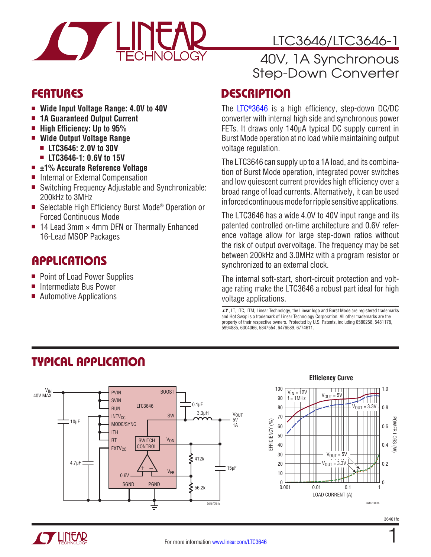

- $\blacksquare$  Wide Input Voltage Range: 4.0V to 40V
- 1A Guaranteed Output Current
- High Efficiency: Up to 95%
- Wide Output Voltage Range
	- <sup>n</sup> **LTC3646: 2.0V to 30V**
	- <sup>n</sup> **LTC3646-1: 0.6V to 15V**
- ±1% Accurate Reference Voltage
- Internal or External Compensation
- Switching Frequency Adjustable and Synchronizable: 200kHz to 3MHz
- Selectable High Efficiency Burst Mode<sup>®</sup> Operation or Forced Continuous Mode
- $\blacksquare$  14 Lead 3mm  $\times$  4mm DFN or Thermally Enhanced 16-Lead MSOP Packages

### **APPLICATIONS**

- Point of Load Power Supplies
- Intermediate Bus Power
- $\blacksquare$  Automotive Applications

# LTC3646/LTC3646-1

### 40V, 1A Synchronous Step-Down Converter

### FEATURES DESCRIPTION

The [LTC®3646](http://www.linear.com/LTC3646) is a high efficiency, step-down DC/DC converter with internal high side and synchronous power FETs. It draws only 140µA typical DC supply current in Burst Mode operation at no load while maintaining output voltage regulation.

The LTC3646 can supply up to a 1A load, and its combination of Burst Mode operation, integrated power switches and low quiescent current provides high efficiency over a broad range of load currents. Alternatively, it can be used in forced continuous mode for ripple sensitive applications.

The LTC3646 has a wide 4.0V to 40V input range and its patented controlled on-time architecture and 0.6V reference voltage allow for large step-down ratios without the risk of output overvoltage. The frequency may be set between 200kHz and 3.0MHz with a program resistor or synchronized to an external clock.

The internal soft-start, short-circuit protection and voltage rating make the LTC3646 a robust part ideal for high voltage applications.

 $\sqrt{J}$ , LT, LTC, LTM, Linear Technology, the Linear logo and Burst Mode are registered trademarks and Hot Swap is a trademark of Linear Technology Corporation. All other trademarks are the property of their respective owners. Protected by U.S. Patents, including 6580258, 5481178, 5994885, 6304066, 5847554, 6476589, 6774611.



# TYPICAL APPLICATION



**Efficiency Curve**

36461fc

1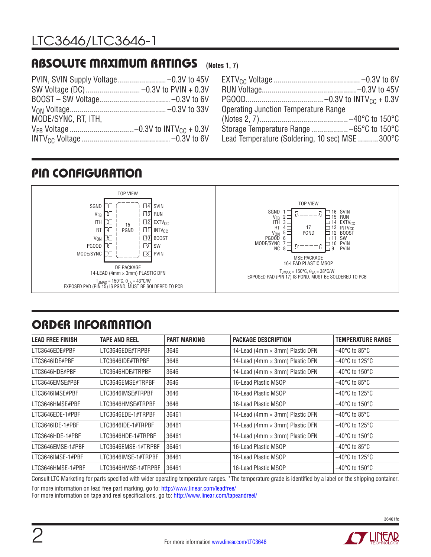#### ABSOLUTE MAXIMUM RATINGS **(Notes 1, 7)**

| Operating Junction Temperature Range           |  |
|------------------------------------------------|--|
|                                                |  |
|                                                |  |
| Lead Temperature (Soldering, 10 sec) MSE 300°C |  |

### PIN CONFIGURATION



# ORDER INFORMATION

| <b>LEAD FREE FINISH</b> | <b>TAPE AND REEL</b> | <b>PART MARKING</b> | <b>PACKAGE DESCRIPTION</b>             | <b>TEMPERATURE RANGE</b>            |
|-------------------------|----------------------|---------------------|----------------------------------------|-------------------------------------|
| LTC3646EDE#PBF          | LTC3646EDE#TRPBF     | 3646                | 14-Lead (4mm $\times$ 3mm) Plastic DFN | $-40^{\circ}$ C to 85 $^{\circ}$ C  |
| LTC3646IDE#PBF          | LTC3646IDE#TRPBF     | 3646                | 14-Lead (4mm × 3mm) Plastic DFN        | $-40^{\circ}$ C to 125 $^{\circ}$ C |
| LTC3646HDE#PBF          | LTC3646HDE#TRPBF     | 3646                | 14-Lead (4mm × 3mm) Plastic DFN        | $-40^{\circ}$ C to 150 $^{\circ}$ C |
| LTC3646EMSE#PBF         | LTC3646EMSE#TRPBF    | 3646                | 16-Lead Plastic MSOP                   | $-40^{\circ}$ C to 85 $^{\circ}$ C  |
| LTC3646IMSE#PBF         | LTC3646IMSE#TRPBF    | 3646                | 16-Lead Plastic MSOP                   | $-40^{\circ}$ C to 125 $^{\circ}$ C |
| LTC3646HMSE#PBF         | LTC3646HMSE#TRPBF    | 3646                | 16-Lead Plastic MSOP                   | $-40^{\circ}$ C to 150 $^{\circ}$ C |
| LTC3646EDE-1#PBF        | LTC3646EDE-1#TRPBF   | 36461               | 14-Lead (4mm $\times$ 3mm) Plastic DFN | $-40^{\circ}$ C to 85 $^{\circ}$ C  |
| LTC3646IDE-1#PBF        | LTC3646IDE-1#TRPBF   | 36461               | 14-Lead (4mm $\times$ 3mm) Plastic DFN | $-40^{\circ}$ C to 125 $^{\circ}$ C |
| LTC3646HDE-1#PBF        | LTC3646HDE-1#TRPBF   | 36461               | 14-Lead (4mm × 3mm) Plastic DFN        | $-40^{\circ}$ C to 150 $^{\circ}$ C |
| LTC3646EMSE-1#PBF       | LTC3646EMSE-1#TRPBF  | 36461               | 16-Lead Plastic MSOP                   | $-40^{\circ}$ C to 85 $^{\circ}$ C  |
| LTC3646IMSE-1#PBF       | LTC3646IMSE-1#TRPBF  | 36461               | 16-Lead Plastic MSOP                   | $-40^{\circ}$ C to 125 $^{\circ}$ C |
| LTC3646HMSE-1#PBF       | LTC3646HMSE-1#TRPBF  | 36461               | 16-Lead Plastic MSOP                   | $-40^{\circ}$ C to 150 $^{\circ}$ C |

Consult LTC Marketing for parts specified with wider operating temperature ranges. \*The temperature grade is identified by a label on the shipping container.

For more information on lead free part marking, go to: <http://www.linear.com/leadfree/>

For more information on tape and reel specifications, go to: <http://www.linear.com/tapeandreel/>

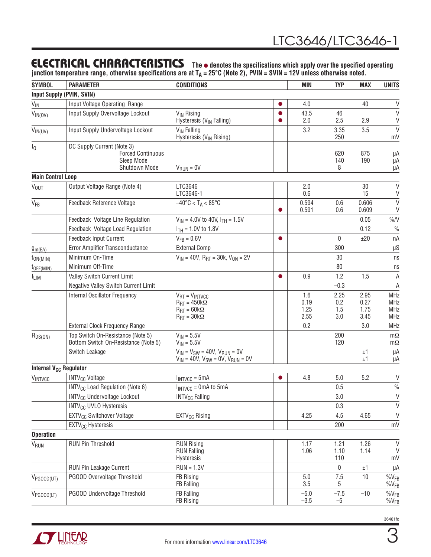### **ELECTRICAL CHARACTERISTICS** The  $\bullet$  denotes the specifications which apply over the specified operating

**junction temperature range, otherwise specifications are at TA = 25°C (Note 2), PVIN = SVIN = 12V unless otherwise noted.**

| <b>SYMBOL</b>                      | <b>PARAMETER</b>                                                                      | <b>CONDITIONS</b>                                                                                                                           | <b>MIN</b>                            | <b>TYP</b>                | <b>MAX</b>                   | <b>UNITS</b>                                  |
|------------------------------------|---------------------------------------------------------------------------------------|---------------------------------------------------------------------------------------------------------------------------------------------|---------------------------------------|---------------------------|------------------------------|-----------------------------------------------|
| <b>Input Supply (PVIN, SVIN)</b>   |                                                                                       |                                                                                                                                             |                                       |                           |                              |                                               |
| $V_{\text{IN}}$                    | Input Voltage Operating Range                                                         |                                                                                                                                             | 4.0<br>$\bullet$                      |                           | 40                           | $\vee$                                        |
| $V_{IN(OV)}$                       | Input Supply Overvoltage Lockout                                                      | V <sub>IN</sub> Rising<br>Hysteresis (V <sub>IN</sub> Falling)                                                                              | 43.5<br>$\bullet$<br>2.0<br>$\bullet$ | 46<br>2.5                 | 2.9                          | $\vee$<br>V                                   |
| $V_{IN(UV)}$                       | Input Supply Undervoltage Lockout                                                     | V <sub>IN</sub> Falling<br>Hysteresis (V <sub>IN</sub> Rising)                                                                              | 3.2                                   | 3.35<br>250               | 3.5                          | $\vee$<br>mV                                  |
| ΙQ                                 | DC Supply Current (Note 3)<br><b>Forced Continuous</b><br>Sleep Mode<br>Shutdown Mode | $V_{RUN} = 0V$                                                                                                                              |                                       | 620<br>140<br>8           | 875<br>190                   | μA<br>μA<br>μA                                |
| <b>Main Control Loop</b>           |                                                                                       |                                                                                                                                             |                                       |                           |                              |                                               |
| <b>V<sub>OUT</sub></b>             | Output Voltage Range (Note 4)                                                         | LTC3646<br>LTC3646-1                                                                                                                        | 2.0<br>0.6                            |                           | 30<br>15                     | $\mathsf{V}$<br>V                             |
| $V_{FB}$                           | Feedback Reference Voltage                                                            | $-40^{\circ}$ C < T <sub>A</sub> < 85°C                                                                                                     | 0.594<br>0.591<br>$\bullet$           | 0.6<br>0.6                | 0.606<br>0.609               | $\vee$<br>V                                   |
|                                    | Feedback Voltage Line Regulation                                                      | $V_{IN}$ = 4.0V to 40V, $I_{TH}$ = 1.5V                                                                                                     |                                       |                           | 0.05                         | $\%N$                                         |
|                                    | Feedback Voltage Load Regulation                                                      | $I_{TH}$ = 1.0V to 1.8V                                                                                                                     |                                       |                           | 0.12                         | $\frac{0}{0}$                                 |
|                                    | Feedback Input Current                                                                | $V_{FB} = 0.6V$                                                                                                                             | $\bullet$                             | 0                         | ±20                          | пA                                            |
| g <sub>m</sub> (EA)                | Error Amplifier Transconductance                                                      | <b>External Comp</b>                                                                                                                        |                                       | 300                       |                              | $\mu S$                                       |
| $t_{ON(MIN)}$                      | Minimum On-Time                                                                       | $V_{IN}$ = 40V, R <sub>RT</sub> = 30k, V <sub>ON</sub> = 2V                                                                                 |                                       | 30                        |                              | ns                                            |
| $t_{OFF(MIN)}$                     | Minimum Off-Time                                                                      |                                                                                                                                             |                                       | 80                        |                              | ns                                            |
| <b>LIM</b>                         | Valley Switch Current Limit                                                           |                                                                                                                                             | 0.9<br>$\bullet$                      | 1.2                       | 1.5                          | $\mathsf A$                                   |
|                                    | Negative Valley Switch Current Limit                                                  |                                                                                                                                             |                                       | $-0.3$                    |                              | $\mathsf A$                                   |
|                                    | Internal Oscillator Frequency                                                         | $V_{RT} = V_{INTVCC}$<br>$R_{\text{RT}} = 450 \text{k}\Omega$<br>$R_{\text{RT}} = 60 \text{k}\Omega$<br>$R_{\text{RT}} = 30 \text{k}\Omega$ | 1.6<br>0.19<br>1.25<br>2.55           | 2.25<br>0.2<br>1.5<br>3.0 | 2.95<br>0.27<br>1.75<br>3.45 | <b>MHz</b><br><b>MHz</b><br>MHz<br><b>MHz</b> |
|                                    | <b>External Clock Frequency Range</b>                                                 |                                                                                                                                             | 0.2                                   |                           | 3.0                          | <b>MHz</b>                                    |
| $R_{DS(ON)}$                       | Top Switch On-Resistance (Note 5)<br>Bottom Switch On-Resistance (Note 5)             | $V_{IN} = 5.5V$<br>$V_{IN} = 5.5V$                                                                                                          |                                       | 200<br>120                |                              | $m\Omega$<br>$m\Omega$                        |
|                                    | Switch Leakage                                                                        | $V_{IN} = V_{SW} = 40V$ , $V_{RUN} = 0V$<br>$V_{IN} = 40V$ , $V_{SW} = 0V$ , $V_{RUN} = 0V$                                                 |                                       |                           | ±1<br>±1                     | μA<br>μA                                      |
| Internal V <sub>CC</sub> Regulator |                                                                                       |                                                                                                                                             |                                       |                           |                              |                                               |
| <b>VINTVCC</b>                     | <b>INTV<sub>CC</sub></b> Voltage                                                      | $I_{INTVCC} = 5mA$                                                                                                                          | 4.8<br>$\bullet$                      | 5.0                       | 5.2                          | $\vee$                                        |
|                                    | INTV <sub>CC</sub> Load Regulation (Note 6)                                           | $I_{INTVCC} = 0$ mA to 5 mA                                                                                                                 |                                       | 0.5                       |                              | $\frac{0}{0}$                                 |
|                                    | <b>INTV<sub>CC</sub></b> Undervoltage Lockout                                         | <b>INTV<sub>CC</sub></b> Falling                                                                                                            |                                       | 3.0                       |                              | V                                             |
|                                    | <b>INTV<sub>CC</sub> UVLO Hysteresis</b>                                              |                                                                                                                                             |                                       | 0.3                       |                              | V                                             |
|                                    | <b>EXTV<sub>CC</sub></b> Switchover Voltage                                           | EXTV <sub>CC</sub> Rising                                                                                                                   | 4.25                                  | 4.5                       | 4.65                         | $\mathsf{V}$                                  |
|                                    | EXTV <sub>CC</sub> Hysteresis                                                         |                                                                                                                                             |                                       | 200                       |                              | mV                                            |
| <b>Operation</b>                   |                                                                                       |                                                                                                                                             |                                       |                           |                              |                                               |
| V <sub>RUN</sub>                   | <b>RUN Pin Threshold</b>                                                              | <b>RUN Rising</b><br><b>RUN Falling</b><br>Hysteresis                                                                                       | 1.17<br>1.06                          | 1.21<br>1.10<br>110       | 1.26<br>1.14                 | V<br>$\vee$<br>mV                             |
|                                    | RUN Pin Leakage Current                                                               | $RUN = 1.3V$                                                                                                                                |                                       | 0                         | ±1                           | μA                                            |
| $V_{PGOOD(UT)}$                    | PGOOD Overvoltage Threshold                                                           | FB Rising<br>FB Falling                                                                                                                     | 5.0<br>3.5                            | 7.5<br>5                  | 10                           | $\%V_{FB}$<br>$%V_{FB}$                       |
| $V_{PGOOD(LT)}$                    | PGOOD Undervoltage Threshold                                                          | FB Falling<br>FB Rising                                                                                                                     | $-5.0$<br>$-3.5$                      | $-7.5$<br>$-5$            | $-10$                        | $%V_{FB}$<br>$%V_{FB}$                        |



3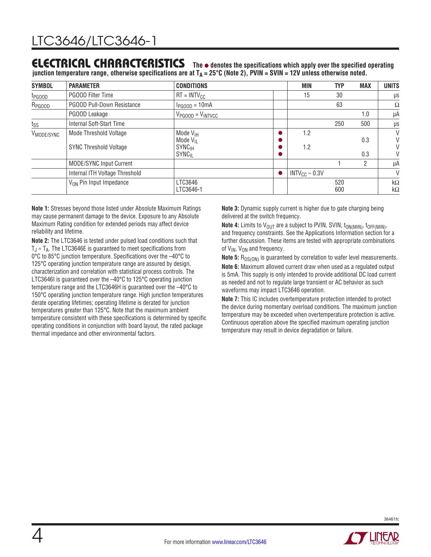### **ELECTRICAL CHARACTERISTICS** The  $\bullet$  denotes the specifications which apply over the specified operating

**junction temperature range, otherwise specifications are at T<sub>A</sub> = 25°C (Note 2), PVIN = SVIN = 12V unless otherwise noted.** 

| <b>SYMBOL</b>          | <b>PARAMETER</b>                                        | <b>CONDITIONS</b>                                                                             |           | <b>MIN</b>         | <b>TYP</b> | <b>MAX</b>     | <b>UNITS</b>           |
|------------------------|---------------------------------------------------------|-----------------------------------------------------------------------------------------------|-----------|--------------------|------------|----------------|------------------------|
| t <sub>PGOOD</sub>     | <b>PGOOD Filter Time</b>                                | $RT = INTV_{CC}$                                                                              |           | 15                 | 30         |                | μs                     |
| R <sub>PGOOD</sub>     | <b>PGOOD Pull-Down Resistance</b>                       | $I_{PGOOD} = 10mA$                                                                            |           |                    | 63         |                | Ω                      |
|                        | PGOOD Leakage                                           | $V_{PGOOD} = V_{INTVCC}$                                                                      |           |                    |            | 1.0            | μA                     |
| $t_{SS}$               | Internal Soft-Start Time                                |                                                                                               |           |                    | 250        | 500            | μs                     |
| V <sub>MODE/SYNC</sub> | Mode Threshold Voltage<br><b>SYNC Threshold Voltage</b> | Mode $V_{\text{IH}}$<br>Mode $V_{II}$<br><b>SYNC<sub>IH</sub></b><br><b>SYNC<sub>IL</sub></b> |           | 1.2<br>1.2         |            | 0.3<br>0.3     | V<br>V<br>V<br>V       |
|                        | <b>MODE/SYNC Input Current</b>                          |                                                                                               |           |                    |            | $\overline{2}$ | μA                     |
|                        | Internal ITH Voltage Threshold                          |                                                                                               | $\bullet$ | $INTV_{CC} - 0.3V$ |            |                | V                      |
|                        | $V_{ON}$ Pin Input Impedance                            | LTC3646<br>LTC3646-1                                                                          |           |                    | 520<br>600 |                | $k\Omega$<br>$k\Omega$ |

**Note 1:** Stresses beyond those listed under Absolute Maximum Ratings may cause permanent damage to the device. Exposure to any Absolute Maximum Rating condition for extended periods may affect device reliability and lifetime.

**Note 2:** The LTC3646 is tested under pulsed load conditions such that  $T_{\text{J}} \approx T_{\text{A}}$ . The LTC3646E is quaranteed to meet specifications from 0°C to 85°C junction temperature. Specifications over the –40°C to 125°C operating junction temperature range are assured by design, characterization and correlation with statistical process controls. The LTC3646I is guaranteed over the -40°C to 125°C operating junction temperature range and the LTC3646H is guaranteed over the –40°C to 150°C operating junction temperature range. High junction temperatures derate operating lifetimes; operating lifetime is derated for junction temperatures greater than 125°C. Note that the maximum ambient temperature consistent with these specifications is determined by specific operating conditions in conjunction with board layout, the rated package thermal impedance and other environmental factors.

**Note 3:** Dynamic supply current is higher due to gate charging being delivered at the switch frequency.

**Note 4:** Limits to  $V_{\text{OUT}}$  are a subject to PVIN, SVIN,  $t_{\text{ON(MIN)}}, t_{\text{OFF(MIN)}},$ and frequency constraints. See the Applications Information section for a further discussion. These items are tested with appropriate combinations of  $V_{IN}$ ,  $V_{ON}$  and frequency.

**Note 5:** R<sub>DS(ON)</sub> is guaranteed by correlation to wafer level measurements. **Note 6:** Maximum allowed current draw when used as a regulated output is 5mA. This supply is only intended to provide additional DC load current as needed and not to regulate large transient or AC behavior as such waveforms may impact LTC3646 operation.

**Note 7:** This IC includes overtemperature protection intended to protect the device during momentary overload conditions. The maximum junction temperature may be exceeded when overtemperature protection is active. Continuous operation above the specified maximum operating junction temperature may result in device degradation or failure.

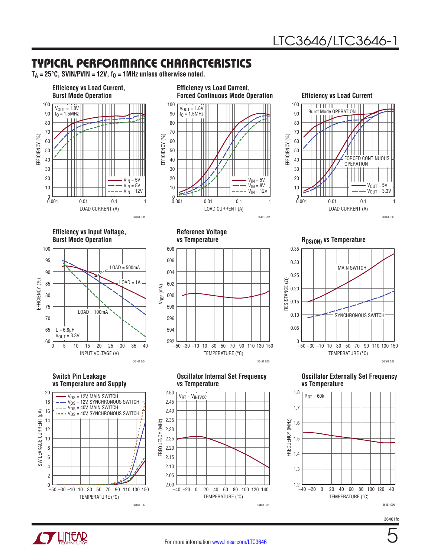5

36461fc

### TYPICAL PERFORMANCE CHARACTERISTICS

 $T_A = 25^\circ \text{C}$ , SVIN/PVIN = 12V,  $f_0 = 1$ MHz unless otherwise noted.



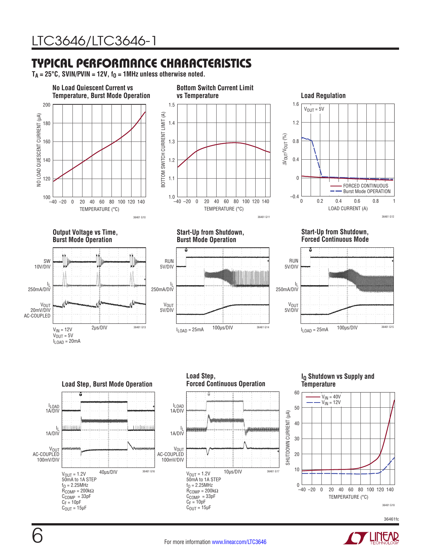### TYPICAL PERFORMANCE CHARACTERISTICS

 $T_A = 25^\circ \text{C}$ , SVIN/PVIN = 12V,  $f_0 = 1$ MHz unless otherwise noted.





 $C_F = 10pF$  $C_{OUT} = 15 \mu F$   $C_F = 10pF$  $C_{\text{OUT}} = 15 \mu F$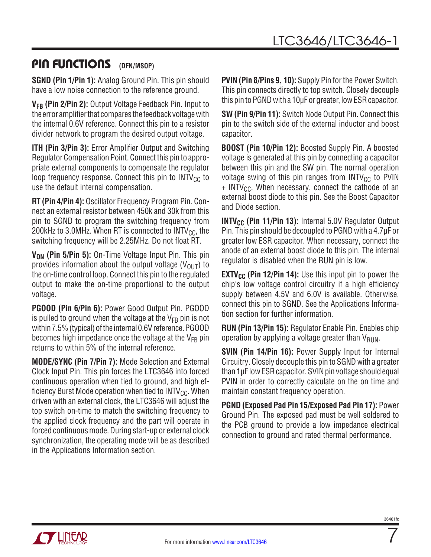### PIN FUNCTIONS (DFN/MSOP)

**SGND (Pin 1/Pin 1):** Analog Ground Pin. This pin should have a low noise connection to the reference ground.

**VFB (Pin 2/Pin 2):** Output Voltage Feedback Pin. Input to the error amplifier that compares the feedback voltage with the internal 0.6V reference. Connect this pin to a resistor divider network to program the desired output voltage.

**ITH (Pin 3/Pin 3):** Error Amplifier Output and Switching Regulator Compensation Point. Connect this pin to appropriate external components to compensate the regulator loop frequency response. Connect this pin to  $INTV_{CC}$  to use the default internal compensation.

**RT (Pin 4/Pin 4):** Oscillator Frequency Program Pin. Connect an external resistor between 450k and 30k from this pin to SGND to program the switching frequency from 200kHz to 3.0MHz. When RT is connected to  $INTV_{CC}$ , the switching frequency will be 2.25MHz. Do not float RT.

**V<sub>ON</sub>** (Pin 5/Pin 5): On-Time Voltage Input Pin. This pin provides information about the output voltage  $(V<sub>OlIT</sub>)$  to the on-time control loop. Connect this pin to the regulated output to make the on-time proportional to the output voltage.

**PGOOD (Pin 6/Pin 6):** Power Good Output Pin. PGOOD is pulled to ground when the voltage at the  $V_{FB}$  pin is not within 7.5%(typical) of the internal 0.6V reference. PGOOD becomes high impedance once the voltage at the  $V_{FR}$  pin returns to within 5% of the internal reference.

**MODE/SYNC (Pin 7/Pin 7):** Mode Selection and External Clock Input Pin. This pin forces the LTC3646 into forced continuous operation when tied to ground, and high efficiency Burst Mode operation when tied to  $INTV_{CC}$ . When driven with an external clock, the LTC3646 will adjust the top switch on-time to match the switching frequency to the applied clock frequency and the part will operate in forced continuous mode. During start-up or external clock synchronization, the operating mode will be as described in the Applications Information section.

**PVIN (Pin 8/Pins 9, 10):** Supply Pin for the Power Switch. This pin connects directly to top switch. Closely decouple this pin to PGND with a 10µF or greater, low ESR capacitor.

**SW (Pin 9/Pin 11):** Switch Node Output Pin. Connect this pin to the switch side of the external inductor and boost capacitor.

**BOOST (Pin 10/Pin 12):** Boosted Supply Pin. A boosted voltage is generated at this pin by connecting a capacitor between this pin and the SW pin. The normal operation voltage swing of this pin ranges from  $INTV_{CC}$  to PVIN  $+$  INTV<sub>CC</sub>. When necessary, connect the cathode of an external boost diode to this pin. See the Boost Capacitor and Diode section.

**INTV<sub>CC</sub>** (Pin 11/Pin 13): Internal 5.0V Regulator Output Pin. This pin should be decoupled to PGND with a 4.7µF or greater low ESR capacitor. When necessary, connect the anode of an external boost diode to this pin. The internal regulator is disabled when the RUN pin is low.

**EXTV<sub>CC</sub>** (Pin 12/Pin 14): Use this input pin to power the chip's low voltage control circuitry if a high efficiency supply between 4.5V and 6.0V is available. Otherwise, connect this pin to SGND. See the Applications Information section for further information.

**RUN (Pin 13/Pin 15):** Regulator Enable Pin. Enables chip operation by applying a voltage greater than  $V_{\text{RUN}}$ .

**SVIN (Pin 14/Pin 16):** Power Supply Input for Internal Circuitry. Closely decouple this pin to SGND with a greater than 1µF low ESR capacitor. SVIN pin voltage should equal PVIN in order to correctly calculate on the on time and maintain constant frequency operation.

**PGND (Exposed Pad Pin 15/Exposed Pad Pin 17):** Power Ground Pin. The exposed pad must be well soldered to the PCB ground to provide a low impedance electrical connection to ground and rated thermal performance.



7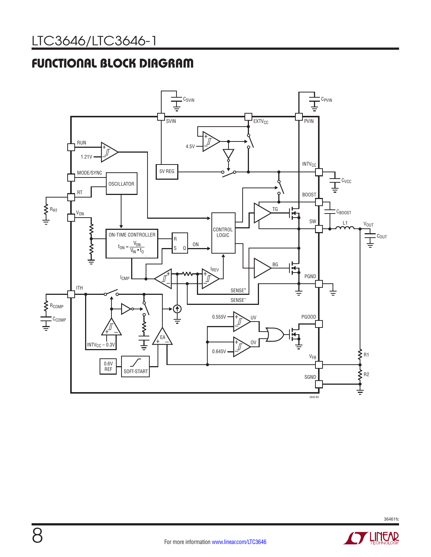# FUNCTIONAL BLOCK DIAGRAM



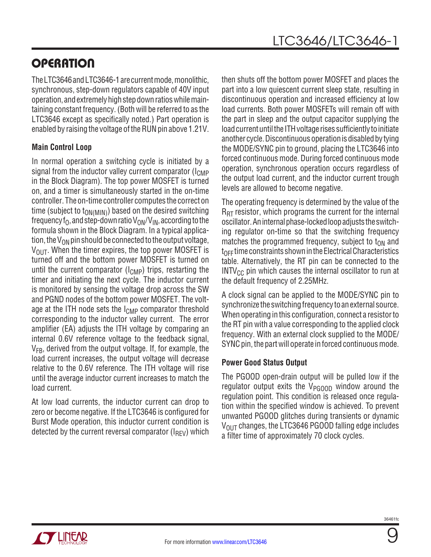# **OPERATION**

The LTC3646 and LTC3646-1 are current mode, monolithic, synchronous, step-down regulators capable of 40V input operation, and extremely high step down ratios while maintaining constant frequency.(Both will be referred to as the LTC3646 except as specifically noted.) Part operation is enabled by raising the voltage of the RUN pin above 1.21V.

### **Main Control Loop**

In normal operation a switching cycle is initiated by a signal from the inductor valley current comparator ( $I_{\text{CMP}}$ ) in the Block Diagram). The top power MOSFET is turned on, and a timer is simultaneously started in the on-time controller. The on-time controller computes the correct on time (subject to  $t_{ON(MIN)}$ ) based on the desired switching frequency f<sub>O</sub>, and step-down ratio  $V_{ON}/V_{IN}$ , according to the formula shown in the Block Diagram. In a typical application, the  $V_{ON}$  pin should be connected to the output voltage,  $V_{\text{OUT}}$ . When the timer expires, the top power MOSFET is turned off and the bottom power MOSFET is turned on until the current comparator  $(I<sub>CMP</sub>)$  trips, restarting the timer and initiating the next cycle. The inductor current is monitored by sensing the voltage drop across the SW and PGND nodes of the bottom power MOSFET. The voltage at the ITH node sets the  $I_{\text{CMD}}$  comparator threshold corresponding to the inductor valley current. The error amplifier (EA) adjusts the ITH voltage by comparing an internal 0.6V reference voltage to the feedback signal,  $V_{FR}$ , derived from the output voltage. If, for example, the load current increases, the output voltage will decrease relative to the 0.6V reference. The ITH voltage will rise until the average inductor current increases to match the load current.

At low load currents, the inductor current can drop to zero or become negative. If the LTC3646 is configured for Burst Mode operation, this inductor current condition is detected by the current reversal comparator  $(I_{\text{RFV}})$  which then shuts off the bottom power MOSFET and places the part into a low quiescent current sleep state, resulting in discontinuous operation and increased efficiency at low load currents. Both power MOSFETs will remain off with the part in sleep and the output capacitor supplying the load current until the ITH voltage rises sufficiently to initiate another cycle. Discontinuous operation is disabled by tying the MODE/SYNC pin to ground, placing the LTC3646 into forced continuous mode. During forced continuous mode operation, synchronous operation occurs regardless of the output load current, and the inductor current trough levels are allowed to become negative.

The operating frequency is determined by the value of the  $R_{\text{RT}}$  resistor, which programs the current for the internal oscillator. An internal phase-locked loop adjusts the switching regulator on-time so that the switching frequency matches the programmed frequency, subject to  $t_{ON}$  and  $t_{\text{OFF}}$  time constraints shown in the Electrical Characteristics table. Alternatively, the RT pin can be connected to the  $INTV_{CC}$  pin which causes the internal oscillator to run at the default frequency of 2.25MHz.

A clock signal can be applied to the MODE/SYNC pin to synchronize the switching frequency to an external source. When operating in this configuration, connect a resistor to the RT pin with a value corresponding to the applied clock frequency. With an external clock supplied to the MODE/ SYNC pin, the part will operate in forced continuous mode.

#### **Power Good Status Output**

The PGOOD open-drain output will be pulled low if the regulator output exits the  $V_{PGOOD}$  window around the regulation point. This condition is released once regulation within the specified window is achieved. To prevent unwanted PGOOD glitches during transients or dynamic  $V_{\text{OUT}}$  changes, the LTC3646 PGOOD falling edge includes a filter time of approximately 70 clock cycles.



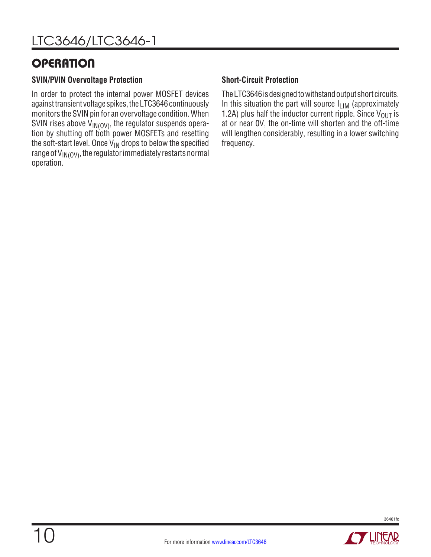### **OPERATION**

#### **SVIN/PVIN Overvoltage Protection**

In order to protect the internal power MOSFET devices against transient voltage spikes, the LTC3646 continuously monitors the SVIN pin for an overvoltage condition. When SVIN rises above  $V_{IN(OV)}$ , the regulator suspends operation by shutting off both power MOSFETs and resetting the soft-start level. Once  $V_{IN}$  drops to below the specified range of  $V_{\text{IN}(O\text{V})}$ , the regulator immediately restarts normal operation.

#### **Short-Circuit Protection**

The LTC3646 is designed to withstand output short circuits. In this situation the part will source  $I_{LIM}$  (approximately 1.2A) plus half the inductor current ripple. Since  $V_{\text{OUT}}$  is at or near 0V, the on-time will shorten and the off-time will lengthen considerably, resulting in a lower switching frequency.

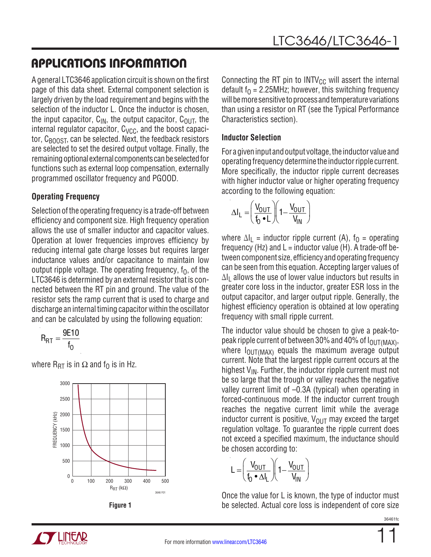A general LTC3646 application circuit is shown on the first page of this data sheet. External component selection is largely driven by the load requirement and begins with the selection of the inductor L. Once the inductor is chosen, the input capacitor,  $C_{IN}$ , the output capacitor,  $C_{OUIT}$ , the internal regulator capacitor,  $C_{VCC}$ , and the boost capacitor,  $C_{\text{BODST}}$ , can be selected. Next, the feedback resistors are selected to set the desired output voltage. Finally, the remaining optional external components can be selected for functions such as external loop compensation, externally programmed oscillator frequency and PGOOD.

### **Operating Frequency**

Selection of the operating frequency is a trade-off between efficiency and component size. High frequency operation allows the use of smaller inductor and capacitor values. Operation at lower frequencies improves efficiency by reducing internal gate charge losses but requires larger inductance values and/or capacitance to maintain low output ripple voltage. The operating frequency,  $f_0$ , of the LTC3646 is determined by an external resistor that is connected between the RT pin and ground. The value of the resistor sets the ramp current that is used to charge and discharge an internal timing capacitor within the oscillator and can be calculated by using the following equation:

$$
R_{RT} = \frac{9E10}{f_0}
$$

where  $R_{\text{RT}}$  is in  $\Omega$  and  $f_{\Omega}$  is in Hz.





Connecting the RT pin to  $INTV_{CC}$  will assert the internal default  $f_0 = 2.25$ MHz; however, this switching frequency will be more sensitive to process and temperature variations than using a resistor on RT (see the Typical Performance Characteristics section).

#### **Inductor Selection**

For a given input and output voltage, the inductor value and operating frequency determine the inductor ripple current. More specifically, the inductor ripple current decreases with higher inductor value or higher operating frequency according to the following equation:

$$
\Delta I_L = \left(\frac{V_{OUT}}{f_0 \cdot L}\right) \left(1 - \frac{V_{OUT}}{V_{IN}}\right)
$$

where  $\Delta I_1$  = inductor ripple current (A),  $f_0$  = operating frequency (Hz) and  $L =$  inductor value (H). A trade-off between component size, efficiency and operating frequency can be seen from this equation. Accepting larger values of  $\Delta I_1$  allows the use of lower value inductors but results in greater core loss in the inductor, greater ESR loss in the output capacitor, and larger output ripple. Generally, the highest efficiency operation is obtained at low operating frequency with small ripple current.

The inductor value should be chosen to give a peak-topeak ripple current of between 30% and 40% of  $I<sub>OUT/MAX</sub>$ , where  $I_{\text{OUT}(\text{MAX})}$  equals the maximum average output current. Note that the largest ripple current occurs at the highest  $V_{IN}$ . Further, the inductor ripple current must not be so large that the trough or valley reaches the negative valley current limit of –0.3A (typical) when operating in forced-continuous mode. If the inductor current trough reaches the negative current limit while the average inductor current is positive,  $V_{\text{OUT}}$  may exceed the target regulation voltage. To guarantee the ripple current does not exceed a specified maximum, the inductance should be chosen according to:

$$
L = \left(\frac{V_{OUT}}{f_0 \cdot \Delta I_L}\right) \left(1 - \frac{V_{OUT}}{V_{IN}}\right)
$$

Once the value for L is known, the type of inductor must **Figure 1** be selected. Actual core loss is independent of core size



11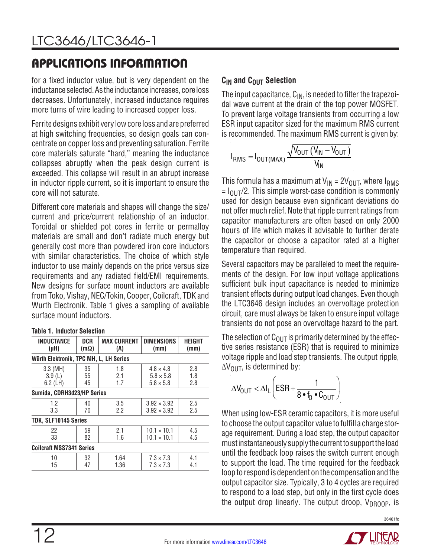for a fixed inductor value, but is very dependent on the inductance selected. As the inductance increases, core loss decreases. Unfortunately, increased inductance requires more turns of wire leading to increased copper loss.

Ferrite designs exhibit very low core loss and are preferred at high switching frequencies, so design goals can concentrate on copper loss and preventing saturation. Ferrite core materials saturate "hard," meaning the inductance collapses abruptly when the peak design current is exceeded. This collapse will result in an abrupt increase in inductor ripple current, so it is important to ensure the core will not saturate.

Different core materials and shapes will change the size/ current and price/current relationship of an inductor. Toroidal or shielded pot cores in ferrite or permalloy materials are small and don't radiate much energy but generally cost more than powdered iron core inductors with similar characteristics. The choice of which style inductor to use mainly depends on the price versus size requirements and any radiated field/EMI requirements. New designs for surface mount inductors are available from Toko, Vishay, NEC/Tokin, Cooper, Coilcraft, TDK and Wurth Electronik. Table 1 gives a sampling of available surface mount inductors.

#### **Table 1. Inductor Selection**

| <b>INDUCTANCE</b><br>$(\mu H)$         | DCR<br>$(m\Omega)$            | <b>MAX CURRENT</b><br>(A) | <b>DIMENSIONS</b><br>(mm) | HEIGHT<br>(mm) |  |  |  |  |  |
|----------------------------------------|-------------------------------|---------------------------|---------------------------|----------------|--|--|--|--|--|
| Würth Elektronik, TPC MH, L, LH Series |                               |                           |                           |                |  |  |  |  |  |
| $3.3 \, (MH)$                          | 35                            | 1.8                       | $4.8 \times 4.8$          | 2.8            |  |  |  |  |  |
| 3.9(L)                                 | 55                            | 2.1                       | $5.8 \times 5.8$          | 1.8            |  |  |  |  |  |
| $6.2$ (LH)                             | 45<br>1.7<br>$5.8 \times 5.8$ |                           |                           |                |  |  |  |  |  |
| Sumida, CDRH3d23/HP Series             |                               |                           |                           |                |  |  |  |  |  |
| 1.2                                    | 40                            | 3.5                       | $3.92 \times 3.92$        | 2.5            |  |  |  |  |  |
| 3.3                                    | 70                            | 2.2                       | $3.92 \times 3.92$        | 2.5            |  |  |  |  |  |
| TDK, SLF10145 Series                   |                               |                           |                           |                |  |  |  |  |  |
| 22                                     | 59                            | 2.1                       | $10.1 \times 10.1$        | 4.5            |  |  |  |  |  |
| 33<br>82<br>1.6                        |                               | $10.1 \times 10.1$        | 4.5                       |                |  |  |  |  |  |
| <b>Coilcraft MSS7341 Series</b>        |                               |                           |                           |                |  |  |  |  |  |
| 10                                     | 32                            | 1.64                      | $7.3 \times 7.3$          | 4.1            |  |  |  |  |  |
| 15                                     | 47                            | 1.36                      | $7.3 \times 7.3$          | 4.1            |  |  |  |  |  |

#### **C<sub>IN</sub>** and C<sub>OUT</sub> Selection

The input capacitance,  $C_{IN}$ , is needed to filter the trapezoidal wave current at the drain of the top power MOSFET. To prevent large voltage transients from occurring a low ESR input capacitor sized for the maximum RMS current is recommended. The maximum RMS current is given by:

$$
I_{RMS} = I_{OUT(MAX)} \frac{\sqrt{V_{OUT} (V_{IN} - V_{OUT})}}{V_{IN}}
$$

This formula has a maximum at  $V_{IN} = 2V_{OUIT}$ , where  $I_{RMS}$  $= I_{\text{OUT}}/2$ . This simple worst-case condition is commonly used for design because even significant deviations do not offer much relief. Note that ripple current ratings from capacitor manufacturers are often based on only 2000 hours of life which makes it advisable to further derate the capacitor or choose a capacitor rated at a higher temperature than required.

Several capacitors may be paralleled to meet the requirements of the design. For low input voltage applications sufficient bulk input capacitance is needed to minimize transient effects during output load changes. Even though the LTC3646 design includes an overvoltage protection circuit, care must always be taken to ensure input voltage transients do not pose an overvoltage hazard to the part.

The selection of  $C_{\Omega I}$  is primarily determined by the effective series resistance (ESR) that is required to minimize voltage ripple and load step transients. The output ripple,  $\Delta V_{\text{OUT}}$ , is determined by:

$$
\Delta V_{\text{OUT}} < \Delta I_L \left( \text{ESR} + \frac{1}{8 \cdot f_0 \cdot C_{\text{OUT}}} \right)
$$

When using low-ESR ceramic capacitors, it is more useful to choose the output capacitor value to fulfill a charge storage requirement. During a load step, the output capacitor must instantaneously supply the current to support the load until the feedback loop raises the switch current enough to support the load. The time required for the feedback loop to respond is dependent on the compensation and the output capacitor size. Typically, 3 to 4 cycles are required to respond to a load step, but only in the first cycle does the output drop linearly. The output droop,  $V_{DROOP}$ , is

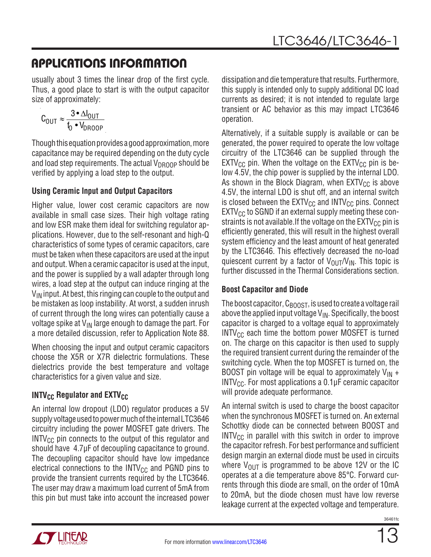usually about 3 times the linear drop of the first cycle. Thus, a good place to start is with the output capacitor size of approximately:

$$
C_{OUT} \approx \frac{3 \cdot \Delta I_{OUT}}{f_0 \cdot V_{DROOP}}
$$

Though this equation provides a good approximation, more capacitance may be required depending on the duty cycle and load step requirements. The actual  $V_{DROOP}$  should be verified by applying a load step to the output.

#### **Using Ceramic Input and Output Capacitors**

Higher value, lower cost ceramic capacitors are now available in small case sizes. Their high voltage rating and low ESR make them ideal for switching regulator applications. However, due to the self-resonant and high-Q characteristics of some types of ceramic capacitors, care must be taken when these capacitors are used at the input and output. When a ceramic capacitor is used at the input, and the power is supplied by a wall adapter through long wires, a load step at the output can induce ringing at the  $V_{IN}$  input. At best, this ringing can couple to the output and be mistaken as loop instability. At worst, a sudden inrush of current through the long wires can potentially cause a voltage spike at  $V_{\text{IN}}$  large enough to damage the part. For a more detailed discussion, refer to Application Note 88.

When choosing the input and output ceramic capacitors choose the X5R or X7R dielectric formulations. These dielectrics provide the best temperature and voltage characteristics for a given value and size.

### **INTV<sub>CC</sub> Regulator and EXTV<sub>CC</sub>**

An internal low dropout (LDO) regulator produces a 5V supply voltage used to power much of the internal LTC3646 circuitry including the power MOSFET gate drivers. The  $INTV_{CC}$  pin connects to the output of this regulator and should have 4.7μF of decoupling capacitance to ground. The decoupling capacitor should have low impedance electrical connections to the  $INTV_{CC}$  and PGND pins to provide the transient currents required by the LTC3646. The user may draw a maximum load current of 5mA from this pin but must take into account the increased power dissipation and die temperature that results. Furthermore, this supply is intended only to supply additional DC load currents as desired; it is not intended to regulate large transient or AC behavior as this may impact LTC3646 operation.

Alternatively, if a suitable supply is available or can be generated, the power required to operate the low voltage circuitry of the LTC3646 can be supplied through the  $EXTV_{CC}$  pin. When the voltage on the  $EXTV_{CC}$  pin is below 4.5V, the chip power is supplied by the internal LDO. As shown in the Block Diagram, when  $EXTV_{CC}$  is above 4.5V, the internal LDO is shut off, and an internal switch is closed between the  $EXTV_{CC}$  and  $INTV_{CC}$  pins. Connect  $EXTV_{CC}$  to SGND if an external supply meeting these constraints is not available. If the voltage on the  $EXT_{CC}$  pin is efficiently generated, this will result in the highest overall system efficiency and the least amount of heat generated by the LTC3646. This effectively decreased the no-load quiescent current by a factor of  $V_{\text{OUT}}/V_{\text{IN}}$ . This topic is further discussed in the Thermal Considerations section.

#### **Boost Capacitor and Diode**

The boost capacitor,  $C_{\text{BOOST}}$ , is used to create a voltage rail above the applied input voltage  $V_{IN}$ . Specifically, the boost capacitor is charged to a voltage equal to approximately  $INTV_{CC}$  each time the bottom power MOSFET is turned on. The charge on this capacitor is then used to supply the required transient current during the remainder of the switching cycle. When the top MOSFET is turned on, the BOOST pin voltage will be equal to approximately  $V_{IN}$  + INTV $_{CC}$ . For most applications a 0.1 $\mu$ F ceramic capacitor will provide adequate performance.

An internal switch is used to charge the boost capacitor when the synchronous MOSFET is turned on. An external Schottky diode can be connected between BOOST and  $INTV_{CC}$  in parallel with this switch in order to improve the capacitor refresh. For best performance and sufficient design margin an external diode must be used in circuits where  $V_{\text{OUT}}$  is programmed to be above 12V or the IC operates at a die temperature above 85°C. Forward currents through this diode are small, on the order of 10mA to 20mA, but the diode chosen must have low reverse leakage current at the expected voltage and temperature.

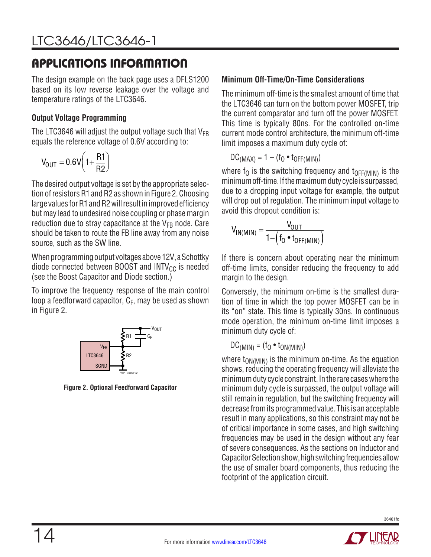The design example on the back page uses a DFLS1200 based on its low reverse leakage over the voltage and temperature ratings of the LTC3646.

#### **Output Voltage Programming**

The LTC3646 will adjust the output voltage such that  $V_{FB}$ equals the reference voltage of 0.6V according to:

$$
V_{OUT}=0.6V\left(1+\frac{R1}{R2}\right)
$$

The desired output voltage is set by the appropriate selection of resistors R1 and R2 as shown in Figure 2. Choosing large values for R1 and R2 will result in improved efficiency but may lead to undesired noise coupling or phase margin reduction due to stray capacitance at the  $V_{FB}$  node. Care should be taken to route the FB line away from any noise source, such as the SW line.

When programming output voltages above 12V, a Schottky diode connected between BOOST and  $INTV_{CC}$  is needed (see the Boost Capacitor and Diode section.)

To improve the frequency response of the main control loop a feedforward capacitor,  $C_F$ , may be used as shown in Figure 2.



**Figure 2. Optional Feedforward Capacitor**

#### **Minimum Off-Time/On-Time Considerations**

The minimum off-time is the smallest amount of time that the LTC3646 can turn on the bottom power MOSFET, trip the current comparator and turn off the power MOSFET. This time is typically 80ns. For the controlled on-time current mode control architecture, the minimum off-time limit imposes a maximum duty cycle of:

$$
DC_{(MAX)} = 1 - (f_0 \cdot t_{OFF(MIN)})
$$

where  $f_0$  is the switching frequency and  $t_{\text{OFF(MIN)}}$  is the minimum off-time. If the maximum duty cycle is surpassed, due to a dropping input voltage for example, the output will drop out of regulation. The minimum input voltage to avoid this dropout condition is:

$$
V_{IN(MIN)} = \frac{V_{OUT}}{1 - \left(f_0 \bullet t_{OFF(MIN)}\right)}
$$

If there is concern about operating near the minimum off-time limits, consider reducing the frequency to add margin to the design.

Conversely, the minimum on-time is the smallest duration of time in which the top power MOSFET can be in its "on" state. This time is typically 30ns. In continuous mode operation, the minimum on-time limit imposes a minimum duty cycle of:

 $DC_{(MIN)} = (f_0 \cdot t_{ON(MIN)})$ 

where  $t_{ON(MIN)}$  is the minimum on-time. As the equation shows, reducing the operating frequency will alleviate the minimum duty cycle constraint. In the rare cases where the minimum duty cycle is surpassed, the output voltage will still remain in regulation, but the switching frequency will decrease from its programmed value. This is an acceptable result in many applications, so this constraint may not be of critical importance in some cases, and high switching frequencies may be used in the design without any fear of severe consequences. As the sections on Inductor and Capacitor Selection show, high switching frequencies allow the use of smaller board components, thus reducing the footprint of the application circuit.

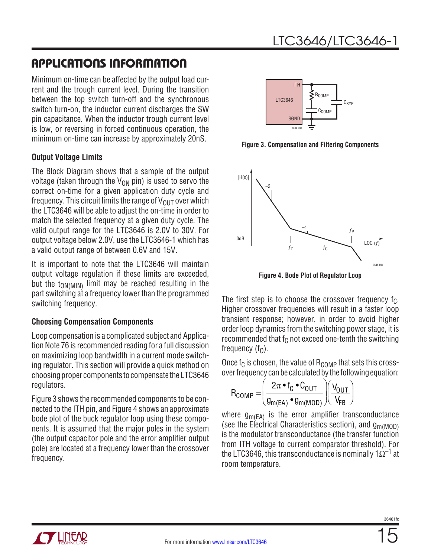Minimum on-time can be affected by the output load current and the trough current level. During the transition between the top switch turn-off and the synchronous switch turn-on, the inductor current discharges the SW pin capacitance. When the inductor trough current level is low, or reversing in forced continuous operation, the minimum on-time can increase by approximately 20nS.

#### **Output Voltage Limits**

The Block Diagram shows that a sample of the output voltage (taken through the  $V_{ON}$  pin) is used to servo the correct on-time for a given application duty cycle and frequency. This circuit limits the range of  $V_{\text{OUT}}$  over which the LTC3646 will be able to adjust the on-time in order to match the selected frequency at a given duty cycle. The valid output range for the LTC3646 is 2.0V to 30V. For output voltage below 2.0V, use the LTC3646-1 which has a valid output range of between 0.6V and 15V.

It is important to note that the LTC3646 will maintain output voltage regulation if these limits are exceeded, but the  $t_{ON(MIN)}$  limit may be reached resulting in the part switching at a frequency lower than the programmed switching frequency.

#### **Choosing Compensation Components**

Loop compensation is a complicated subject and Application Note 76 is recommended reading for a full discussion on maximizing loop bandwidth in a current mode switching regulator. This section will provide a quick method on choosing proper components to compensate the LTC3646 regulators.

Figure 3 shows the recommended components to be connected to the ITH pin, and Figure 4 shows an approximate bode plot of the buck regulator loop using these components. It is assumed that the major poles in the system (the output capacitor pole and the error amplifier output pole) are located at a frequency lower than the crossover frequency.



**Figure 3. Compensation and Filtering Components**



**Figure 4. Bode Plot of Regulator Loop**

The first step is to choose the crossover frequency  $f_C$ . Higher crossover frequencies will result in a faster loop transient response; however, in order to avoid higher order loop dynamics from the switching power stage, it is recommended that  $f_C$  not exceed one-tenth the switching frequency  $(f_0)$ .

Once  $f_C$  is chosen, the value of  $R_{\text{COMP}}$  that sets this crossover frequency can be calculated by the following equation:

$$
R_{COMP} = \left(\frac{2\pi \cdot f_C \cdot C_{OUT}}{g_{m(EA)} \cdot g_{m(MOD)}}\right) \left(\frac{V_{OUT}}{V_{FB}}\right)
$$

where  $g_{m(FA)}$  is the error amplifier transconductance (see the Electrical Characteristics section), and  $g_{\text{m(MOD)}}$ is the modulator transconductance (the transfer function from ITH voltage to current comparator threshold). For the LTC3646, this transconductance is nominally  $1\Omega^{-1}$  at room temperature.

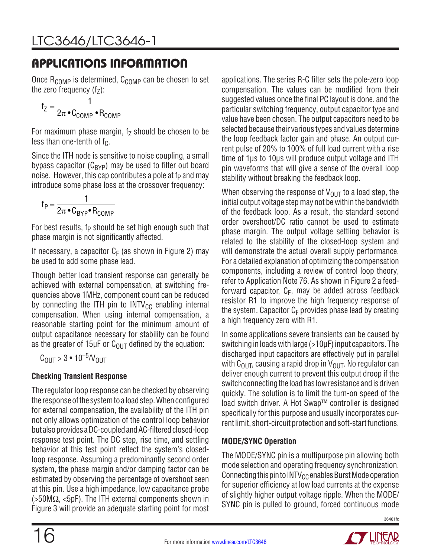Once  $R_{COMP}$  is determined,  $C_{COMP}$  can be chosen to set the zero frequency  $(f_7)$ :

$$
f_Z = \frac{1}{2\pi \cdot C_{COMP} \cdot R_{COMP}}
$$

For maximum phase margin,  $f<sub>z</sub>$  should be chosen to be less than one-tenth of  $f_C$ .

Since the ITH node is sensitive to noise coupling, a small bypass capacitor  $(C_{BYP})$  may be used to filter out board noise. However, this cap contributes a pole at  $f_P$  and may introduce some phase loss at the crossover frequency:

$$
f_P=\frac{1}{2\pi \bullet C_{BYP} \bullet R_{COMP}}
$$

For best results,  $f_P$  should be set high enough such that phase margin is not significantly affected.

If necessary, a capacitor  $C_F$  (as shown in Figure 2) may be used to add some phase lead.

Though better load transient response can generally be achieved with external compensation, at switching frequencies above 1MHz, component count can be reduced by connecting the ITH pin to  $INTV_{CC}$  enabling internal compensation. When using internal compensation, a reasonable starting point for the minimum amount of output capacitance necessary for stability can be found as the greater of 15 $\mu$ F or C<sub>OUT</sub> defined by the equation:

$$
C_{\text{OUT}} > 3 \cdot 10^{-5} / V_{\text{OUT}}
$$

#### **Checking Transient Response**

The regulator loop response can be checked by observing the response of the system to a load step. When configured for external compensation, the availability of the ITH pin not only allows optimization of the control loop behavior but also provides a DC-coupled and AC-filtered closed-loop response test point. The DC step, rise time, and settling behavior at this test point reflect the system's closedloop response. Assuming a predominantly second order system, the phase margin and/or damping factor can be estimated by observing the percentage of overshoot seen at this pin. Use a high impedance, low capacitance probe (>50MΩ, <5pF). The ITH external components shown in Figure 3 will provide an adequate starting point for most applications. The series R-C filter sets the pole-zero loop compensation. The values can be modified from their suggested values once the final PC layout is done, and the particular switching frequency, output capacitor type and value have been chosen. The output capacitors need to be selected because their various types and values determine the loop feedback factor gain and phase. An output current pulse of 20% to 100% of full load current with a rise time of 1μs to 10μs will produce output voltage and ITH pin waveforms that will give a sense of the overall loop stability without breaking the feedback loop.

When observing the response of  $V_{\text{OUT}}$  to a load step, the initial output voltage step may not be within the bandwidth of the feedback loop. As a result, the standard second order overshoot/DC ratio cannot be used to estimate phase margin. The output voltage settling behavior is related to the stability of the closed-loop system and will demonstrate the actual overall supply performance. For a detailed explanation of optimizing the compensation components, including a review of control loop theory, refer to Application Note 76. As shown in Figure 2 a feedforward capacitor,  $C_F$ , may be added across feedback resistor R1 to improve the high frequency response of the system. Capacitor  $C_F$  provides phase lead by creating a high frequency zero with R1.

In some applications severe transients can be caused by switching in loads with large (>10μF) input capacitors. The discharged input capacitors are effectively put in parallel with  $C<sub>OUT</sub>$ , causing a rapid drop in  $V<sub>OUT</sub>$ . No regulator can deliver enough current to prevent this output droop if the switch connecting the load has low resistance and is driven quickly. The solution is to limit the turn-on speed of the load switch driver. A Hot Swap™ controller is designed specifically for this purpose and usually incorporates current limit, short-circuit protection and soft-start functions.

#### **MODE/SYNC Operation**

The MODE/SYNC pin is a multipurpose pin allowing both mode selection and operating frequency synchronization. Connecting this pin to  $INTV_{CC}$  enables Burst Mode operation for superior efficiency at low load currents at the expense of slightly higher output voltage ripple. When the MODE/ SYNC pin is pulled to ground, forced continuous mode

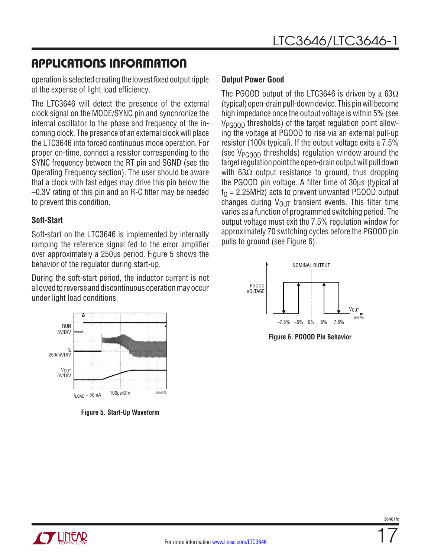operation is selected creating the lowest fixed output ripple at the expense of light load efficiency.

The LTC3646 will detect the presence of the external clock signal on the MODE/SYNC pin and synchronize the internal oscillator to the phase and frequency of the incoming clock. The presence of an external clock will place the LTC3646 into forced continuous mode operation. For proper on-time, connect a resistor corresponding to the SYNC frequency between the RT pin and SGND (see the Operating Frequency section). The user should be aware that a clock with fast edges may drive this pin below the –0.3V rating of this pin and an R-C filter may be needed to prevent this condition.

#### **Soft-Start**

Soft-start on the LTC3646 is implemented by internally ramping the reference signal fed to the error amplifier over approximately a 250µs period. Figure 5 shows the behavior of the regulator during start-up.

During the soft-start period, the inductor current is not allowed to reverse and discontinuous operation may occur under light load conditions.



**Figure 5. Start-Up Waveform**

#### **Output Power Good**

The PGOOD output of the LTC3646 is driven by a 63 $\Omega$ (typical) open-drain pull-down device. This pin will become high impedance once the output voltage is within 5% (see V<sub>PGOOD</sub> thresholds) of the target regulation point allowing the voltage at PGOOD to rise via an external pull-up resistor (100k typical). If the output voltage exits a 7.5% (see  $V_{PGPOD}$  thresholds) regulation window around the target regulation point the open-drain output will pull down with 63 $Ω$  output resistance to ground, thus dropping the PGOOD pin voltage. A filter time of 30μs (typical at  $f<sub>0</sub>$  = 2.25MHz) acts to prevent unwanted PGOOD output changes during  $V_{\text{OUT}}$  transient events. This filter time varies as a function of programmed switching period. The output voltage must exit the 7.5% regulation window for approximately 70 switching cycles before the PGOOD pin pulls to ground (see Figure 6).



**Figure 6. PGOOD Pin Behavior**

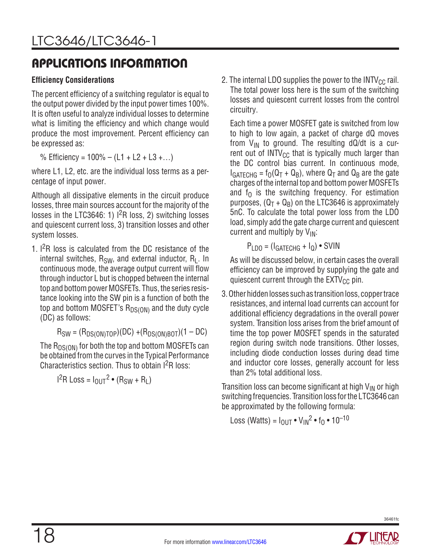#### **Efficiency Considerations**

The percent efficiency of a switching regulator is equal to the output power divided by the input power times 100%. It is often useful to analyze individual losses to determine what is limiting the efficiency and which change would produce the most improvement. Percent efficiency can be expressed as:

% Efficiency =  $100\% - (L1 + L2 + L3 + ...)$ 

where L1, L2, etc. are the individual loss terms as a percentage of input power.

Although all dissipative elements in the circuit produce losses, three main sources account for the majority of the losses in the LTC3646: 1)  $1^2R$  loss, 2) switching losses and quiescent current loss, 3) transition losses and other system losses.

1. I<sup>2</sup>R loss is calculated from the DC resistance of the internal switches,  $R_{SW}$ , and external inductor,  $R_1$ . In continuous mode, the average output current will flow through inductor L but is chopped between the internal top and bottom power MOSFETs. Thus, the series resistance looking into the SW pin is a function of both the top and bottom MOSFET's  $R_{DS(ON)}$  and the duty cycle (DC) as follows:

 $R_{SW} = (R_{DS(ON)TOP})(DC) + (R_{DS(ON)BOT})(1 - DC)$ 

The  ${\sf R}_{\sf DS(ON)}$  for both the top and bottom MOSFETs can be obtained from the curves in the Typical Performance Characteristics section. Thus to obtain I2R loss:

$$
I2R Loss = IOUT2 \cdot (RSW + RL)
$$

2. The internal LDO supplies the power to the  $INTV_{CC}$  rail. The total power loss here is the sum of the switching losses and quiescent current losses from the control circuitry.

Each time a power MOSFET gate is switched from low to high to low again, a packet of charge dQ moves from  $V_{IN}$  to ground. The resulting dQ/dt is a current out of  $INTV_{CC}$  that is typically much larger than the DC control bias current. In continuous mode,  $I_{GATECHG} = f_0(Q_T + Q_B)$ , where  $Q_T$  and  $Q_B$  are the gate charges of the internal top and bottom power MOSFETs and  $f_0$  is the switching frequency. For estimation purposes,  $(Q_T + Q_B)$  on the LTC3646 is approximately 5nC. To calculate the total power loss from the LDO load, simply add the gate charge current and quiescent current and multiply by  $V_{IN}$ :

 $P_{LDO} = (I_{GATECHG} + I_Q) \cdot SVIN$ 

As will be discussed below, in certain cases the overall efficiency can be improved by supplying the gate and quiescent current through the  $EXTV_{CC}$  pin.

3. Other hidden losses such as transition loss, copper trace resistances, and internal load currents can account for additional efficiency degradations in the overall power system. Transition loss arises from the brief amount of time the top power MOSFET spends in the saturated region during switch node transitions. Other losses, including diode conduction losses during dead time and inductor core losses, generally account for less than 2% total additional loss.

Transition loss can become significant at high  $V_{IN}$  or high switching frequencies. Transition loss for the LTC3646 can be approximated by the following formula:

Loss (Watts) =  $I_{\text{OUT}} \cdot V_{\text{IN}}^2 \cdot f_0 \cdot 10^{-10}$ 

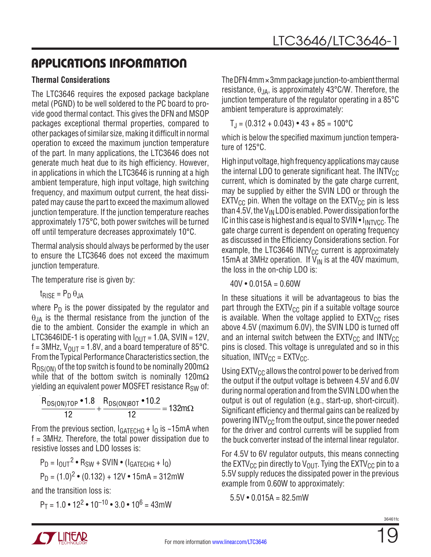#### **Thermal Considerations**

The LTC3646 requires the exposed package backplane metal (PGND) to be well soldered to the PC board to provide good thermal contact. This gives the DFN and MSOP packages exceptional thermal properties, compared to other packages of similar size, making it difficult in normal operation to exceed the maximum junction temperature of the part. In many applications, the LTC3646 does not generate much heat due to its high efficiency. However, in applications in which the LTC3646 is running at a high ambient temperature, high input voltage, high switching frequency, and maximum output current, the heat dissipated may cause the part to exceed the maximum allowed junction temperature. If the junction temperature reaches approximately 175°C, both power switches will be turned off until temperature decreases approximately 10°C.

Thermal analysis should always be performed by the user to ensure the LTC3646 does not exceed the maximum junction temperature.

The temperature rise is given by:

 $t_{RISF} = P_D \theta_{J}$ 

where  $P_D$  is the power dissipated by the regulator and  $\theta_{JA}$  is the thermal resistance from the junction of the die to the ambient. Consider the example in which an LTC3646IDE-1 is operating with  $I_{\text{OUT}} = 1.0$ A, SVIN = 12V,  $f = 3MHz$ ,  $V_{OUT} = 1.8V$ , and a board temperature of 85 $^{\circ}$ C. From the Typical Performance Characteristics section, the  $R_{DS(ON)}$  of the top switch is found to be nominally 200m $\Omega$ while that of the bottom switch is nominally 120m $\Omega$ yielding an equivalent power MOSFET resistance R<sub>SW</sub> of:

$$
\frac{R_{DS(ON)TOP} \cdot 1.8}{12} + \frac{R_{DS(ON)BOT} \cdot 10.2}{12} = 132 m\Omega
$$

From the previous section,  $I_{GATECHG} + I_{Q}$  is ~15mA when f = 3MHz. Therefore, the total power dissipation due to resistive losses and LDO losses is:

$$
P_D = I_{OUT}^2 \cdot R_{SW} + SVIN \cdot (I_{GATECHG} + I_Q)
$$
  

$$
P_D = (1.0)^2 \cdot (0.132) + 12V \cdot 15mA = 312mW
$$

and the transition loss is:

 $P_T = 1.0 \cdot 12^2 \cdot 10^{-10} \cdot 3.0 \cdot 10^6 = 43$  mW

The DFN 4mm ×3mm package junction-to-ambient thermal resistance,  $\theta_{JA}$ , is approximately 43°C/W. Therefore, the junction temperature of the regulator operating in a 85°C ambient temperature is approximately:

 $T_{\rm J}$  = (0.312 + 0.043) • 43 + 85 = 100 °C

which is below the specified maximum junction temperature of 125°C.

High input voltage, high frequency applications may cause the internal LDO to generate significant heat. The  $INTV_{CC}$ current, which is dominated by the gate charge current, may be supplied by either the SVIN LDO or through the  $EXTV_{CC}$  pin. When the voltage on the  $EXTV_{CC}$  pin is less than 4.5V, the  $V_{IN}$  LDO is enabled. Power dissipation for the IC in this case is highest and is equal to SVIN  $\bullet$   $I_{\text{INTVCC}}$ . The gate charge current is dependent on operating frequency as discussed in the Efficiency Considerations section. For example, the LTC3646 INTV $_{\text{CC}}$  current is approximately 15mA at 3MHz operation. If  $V_{IN}$  is at the 40V maximum, the loss in the on-chip LDO is:

 $40V \cdot 0.015A = 0.60W$ 

In these situations it will be advantageous to bias the part through the  $EXTV_{CC}$  pin if a suitable voltage source is available. When the voltage applied to  $EXT_{CC}$  rises above 4.5V (maximum 6.0V), the SVIN LDO is turned off and an internal switch between the  $\text{EXTV}_{\text{CC}}$  and  $\text{INTV}_{\text{CC}}$ pins is closed. This voltage is unregulated and so in this situation,  $INTV_{CC} = EXTV_{CC}$ .

Using  $EXTV_{CC}$  allows the control power to be derived from the output if the output voltage is between 4.5V and 6.0V during normal operation and from the SVIN LDO when the output is out of regulation (e.g., start-up, short-circuit). Significant efficiency and thermal gains can be realized by powering  $INTV_{CC}$  from the output, since the power needed for the driver and control currents will be supplied from the buck converter instead of the internal linear regulator.

For 4.5V to 6V regulator outputs, this means connecting the EXTV<sub>CC</sub> pin directly to V<sub>OUT</sub>. Tying the EXTV<sub>CC</sub> pin to a 5.5V supply reduces the dissipated power in the previous example from 0.60W to approximately:

 $5.5V \cdot 0.015A = 82.5mW$ 

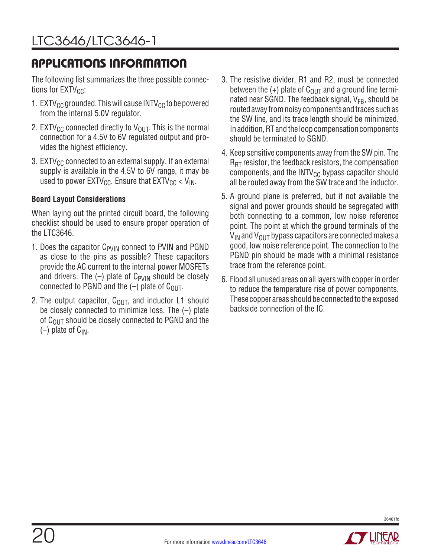The following list summarizes the three possible connections for  $EXTV_{CC}$ :

- 1. EXTV $_{\rm CC}$  grounded. This will cause INTV $_{\rm CC}$  to be powered from the internal 5.0V regulator.
- 2. EXTV<sub>CC</sub> connected directly to  $V_{\text{OUT}}$ . This is the normal connection for a 4.5V to 6V regulated output and provides the highest efficiency.
- 3. EXTV $_{\rm CC}$  connected to an external supply. If an external supply is available in the 4.5V to 6V range, it may be used to power  $EXTV_{CC}$ . Ensure that  $EXTV_{CC}$  <  $V_{IN}$ .

#### **Board Layout Considerations**

When laying out the printed circuit board, the following checklist should be used to ensure proper operation of the LTC3646.

- 1. Does the capacitor  $C_{PVIN}$  connect to PVIN and PGND as close to the pins as possible? These capacitors provide the AC current to the internal power MOSFETs and drivers. The  $(-)$  plate of C<sub>PVIN</sub> should be closely connected to PGND and the  $(-)$  plate of C<sub>OUT</sub>.
- 2. The output capacitor,  $C_{\text{OUT}}$ , and inductor L1 should be closely connected to minimize loss. The (–) plate of  $C_{\text{OUT}}$  should be closely connected to PGND and the  $(-)$  plate of  $C_{IN}$ .
- 3. The resistive divider, R1 and R2, must be connected between the  $(+)$  plate of C<sub>OUT</sub> and a ground line terminated near SGND. The feedback signal,  $V_{FB}$ , should be routed away from noisy components and traces such as the SW line, and its trace length should be minimized. In addition, RT and the loop compensation components should be terminated to SGND.
- 4. Keep sensitive components away from the SW pin. The  $R_{\text{RT}}$  resistor, the feedback resistors, the compensation components, and the  $INTV_{CC}$  bypass capacitor should all be routed away from the SW trace and the inductor.
- 5. A ground plane is preferred, but if not available the signal and power grounds should be segregated with both connecting to a common, low noise reference point. The point at which the ground terminals of the  $V_{IN}$  and  $V_{OIII}$  bypass capacitors are connected makes a good, low noise reference point. The connection to the PGND pin should be made with a minimal resistance trace from the reference point.
- 6. Flood all unused areas on all layers with copper in order to reduce the temperature rise of power components. These copper areas should be connected to the exposed backside connection of the IC.

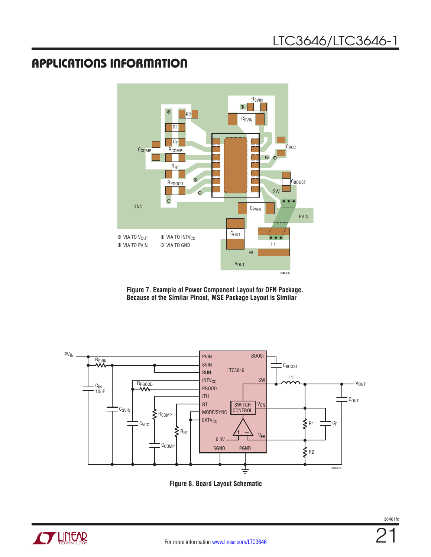

**Figure 7. Example of Power Component Layout for DFN Package. Because of the Similar Pinout, MSE Package Layout is Similar**



**Figure 8. Board Layout Schematic**

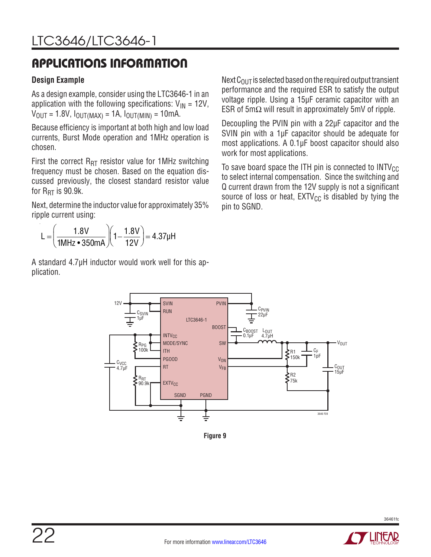#### **Design Example**

As a design example, consider using the LTC3646-1 in an application with the following specifications:  $V_{IN} = 12V$ ,  $V_{\text{OUT}} = 1.8V, I_{\text{OUT}}(MAX) = 1A, I_{\text{OUT}}(MIN) = 10mA.$ 

Because efficiency is important at both high and low load currents, Burst Mode operation and 1MHz operation is chosen.

First the correct  $R_{RT}$  resistor value for 1MHz switching frequency must be chosen. Based on the equation discussed previously, the closest standard resistor value for  $R_{\text{RT}}$  is 90.9k.

Next, determine the inductor value for approximately 35% ripple current using:



A standard 4.7µH inductor would work well for this application.

Next  $C<sub>OUT</sub>$  is selected based on the required output transient performance and the required ESR to satisfy the output voltage ripple. Using a 15µF ceramic capacitor with an ESR of 5m $\Omega$  will result in approximately 5mV of ripple.

Decoupling the PVIN pin with a 22µF capacitor and the SVIN pin with a 1µF capacitor should be adequate for most applications. A 0.1µF boost capacitor should also work for most applications.

To save board space the ITH pin is connected to  $INTV_{CC}$ to select internal compensation. Since the switching and Q current drawn from the 12V supply is not a significant source of loss or heat,  $EXTV_{CC}$  is disabled by tying the pin to SGND.



**Figure 9**

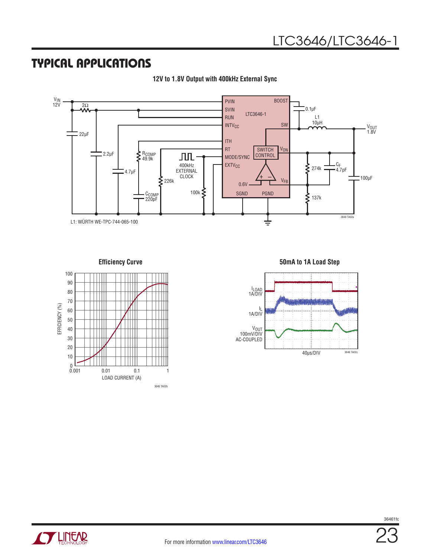### TYPICAL APPLICATIONS



**12V to 1.8V Output with 400kHz External Sync**



**Efficiency Curve 50mA to 1A Load Step**



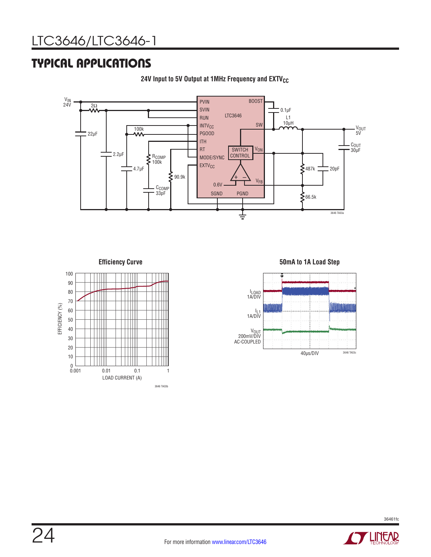### TYPICAL APPLICATIONS



**24V** Input to 5V Output at 1MHz Frequency and EXTV<sub>CC</sub>



**Efficiency Curve 50mA to 1A Load Step**



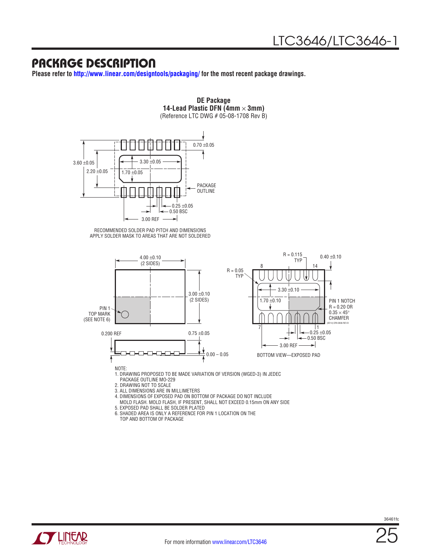### PACKAGE DESCRIPTION

**Please refer to <http://www.linear.com/designtools/packaging/>for the most recent package drawings.**



6. SHADED AREA IS ONLY A REFERENCE FOR PIN 1 LOCATION ON THE TOP AND BOTTOM OF PACKAGE

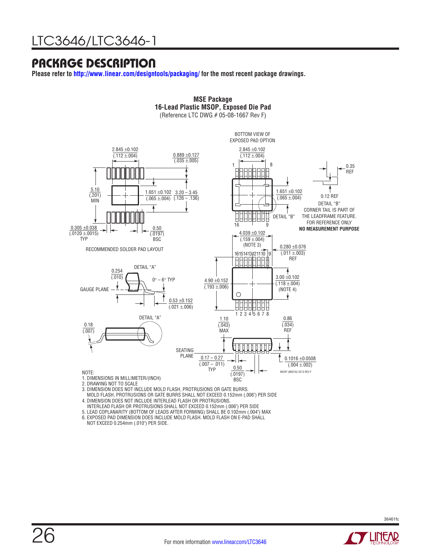### PACKAGE DESCRIPTION

**Please refer to <http://www.linear.com/designtools/packaging/>for the most recent package drawings.**



MOLD FLASH, PROTRUSIONS OR GATE BURRS SHALL NOT EXCEED 0.152mm (.006") PER SIDE

4. DIMENSION DOES NOT INCLUDE INTERLEAD FLASH OR PROTRUSIONS.

INTERLEAD FLASH OR PROTRUSIONS SHALL NOT EXCEED 0.152mm (.006") PER SIDE

5. LEAD COPLANARITY (BOTTOM OF LEADS AFTER FORMING) SHALL BE 0.102mm (.004") MAX

6. EXPOSED PAD DIMENSION DOES INCLUDE MOLD FLASH. MOLD FLASH ON E-PAD SHALL NOT EXCEED 0.254mm (.010") PER SIDE.

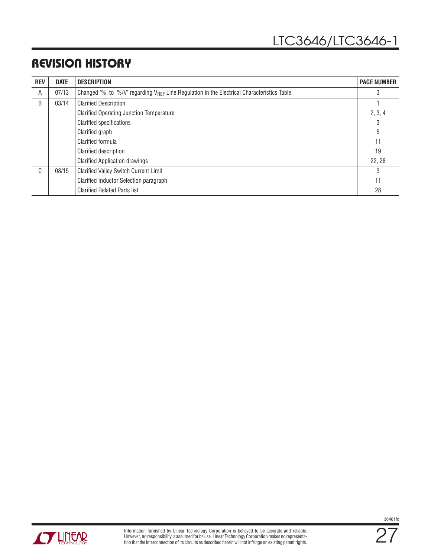### REVISION HISTORY

| <b>REV</b>   | <b>DATE</b> | <b>DESCRIPTION</b>                                                                                       | <b>PAGE NUMBER</b> |
|--------------|-------------|----------------------------------------------------------------------------------------------------------|--------------------|
| A            | 07/13       | Changed '%' to '%/V' regarding V <sub>RFF</sub> Line Regulation in the Electrical Characteristics Table. |                    |
| B            | 03/14       | <b>Clarified Description</b>                                                                             |                    |
|              |             | <b>Clarified Operating Junction Temperature</b>                                                          | 2, 3, 4            |
|              |             | <b>Clarified specifications</b>                                                                          | 3                  |
|              |             | Clarified graph                                                                                          | 5                  |
|              |             | Clarified formula                                                                                        | 11                 |
|              |             | Clarified description                                                                                    | 19                 |
|              |             | <b>Clarified Application drawings</b>                                                                    | 22, 28             |
| $\mathsf{C}$ | 08/15       | <b>Clarified Valley Switch Current Limit</b>                                                             | 3                  |
|              |             | Clarified Inductor Selection paragraph                                                                   | 11                 |
|              |             | <b>Clarified Related Parts list</b>                                                                      | 28                 |